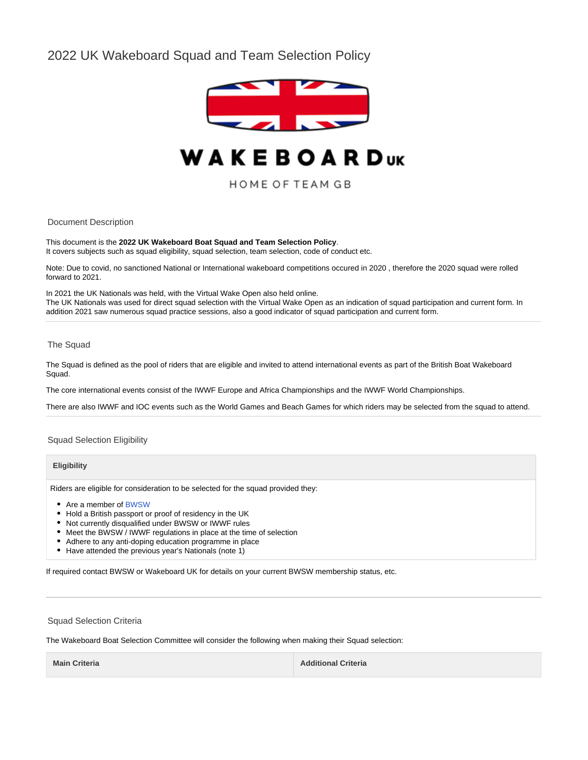# 2022 UK Wakeboard Squad and Team Selection Policy



# **WAKEBOARDUK**

HOME OF TEAM GB

Document Description

This document is the **2022 UK Wakeboard Boat Squad and Team Selection Policy**. It covers subjects such as squad eligibility, squad selection, team selection, code of conduct etc.

Note: Due to covid, no sanctioned National or International wakeboard competitions occured in 2020 , therefore the 2020 squad were rolled forward to 2021.

In 2021 the UK Nationals was held, with the Virtual Wake Open also held online. The UK Nationals was used for direct squad selection with the Virtual Wake Open as an indication of squad participation and current form. In addition 2021 saw numerous squad practice sessions, also a good indicator of squad participation and current form.

## The Squad

The Squad is defined as the pool of riders that are eligible and invited to attend international events as part of the British Boat Wakeboard Squad.

The core international events consist of the IWWF Europe and Africa Championships and the IWWF World Championships.

There are also IWWF and IOC events such as the World Games and Beach Games for which riders may be selected from the squad to attend.

Squad Selection Eligibility

## **Eligibility**

Riders are eligible for consideration to be selected for the squad provided they:

- Are a member of [BWSW](https://www.bwsw.org.uk)
- Hold a British passport or proof of residency in the UK
- Not currently disqualified under BWSW or IWWF rules
- Meet the BWSW / IWWF regulations in place at the time of selection
- Adhere to any anti-doping education programme in place
- Have attended the previous year's Nationals (note 1)

If required contact BWSW or Wakeboard UK for details on your current BWSW membership status, etc.

#### Squad Selection Criteria

The Wakeboard Boat Selection Committee will consider the following when making their Squad selection:

**Main Criteria Additional Criteria Additional Criteria Additional Criteria**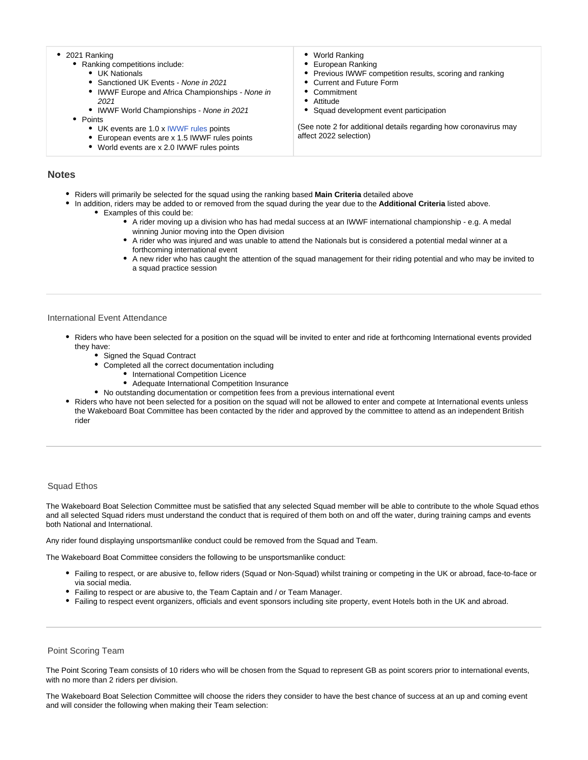- 2021 Ranking • Ranking competitions include: • UK Nationals
	- Sanctioned UK Events None in 2021
	- IWWF Europe and Africa Championships None in
	- 2021
	- IWWF World Championships None in 2021
	- Points
		- UK events are 1.0 x [IWWF rules](https://cdn.wakeboard.co.uk/downloads/2019/IWWFWakeboardBoatRules2019.pdf) points
		- European events are x 1.5 IWWF rules points
		- World events are x 2.0 IWWF rules points
- World Ranking
- European Ranking
- $\bullet$ Previous IWWF competition results, scoring and ranking
- Current and Future Form
- **Commitment**
- Attitude
- Squad development event participation

(See note 2 for additional details regarding how coronavirus may affect 2022 selection)

# **Notes**

- Riders will primarily be selected for the squad using the ranking based **Main Criteria** detailed above
- In addition, riders may be added to or removed from the squad during the year due to the **Additional Criteria** listed above. Examples of this could be:
	- A rider moving up a division who has had medal success at an IWWF international championship e.g. A medal winning Junior moving into the Open division
	- A rider who was injured and was unable to attend the Nationals but is considered a potential medal winner at a forthcoming international event
	- A new rider who has caught the attention of the squad management for their riding potential and who may be invited to a squad practice session

# International Event Attendance

- Riders who have been selected for a position on the squad will be invited to enter and ride at forthcoming International events provided they have:
	- Signed the Squad Contract
		- Completed all the correct documentation including
			- International Competition Licence
				- Adequate International Competition Insurance
	- No outstanding documentation or competition fees from a previous international event
- Riders who have not been selected for a position on the squad will not be allowed to enter and compete at International events unless the Wakeboard Boat Committee has been contacted by the rider and approved by the committee to attend as an independent British rider

# Squad Ethos

The Wakeboard Boat Selection Committee must be satisfied that any selected Squad member will be able to contribute to the whole Squad ethos and all selected Squad riders must understand the conduct that is required of them both on and off the water, during training camps and events both National and International.

Any rider found displaying unsportsmanlike conduct could be removed from the Squad and Team.

The Wakeboard Boat Committee considers the following to be unsportsmanlike conduct:

- Failing to respect, or are abusive to, fellow riders (Squad or Non-Squad) whilst training or competing in the UK or abroad, face-to-face or via social media.
- Failing to respect or are abusive to, the Team Captain and / or Team Manager.
- Failing to respect event organizers, officials and event sponsors including site property, event Hotels both in the UK and abroad.

### Point Scoring Team

The Point Scoring Team consists of 10 riders who will be chosen from the Squad to represent GB as point scorers prior to international events, with no more than 2 riders per division.

The Wakeboard Boat Selection Committee will choose the riders they consider to have the best chance of success at an up and coming event and will consider the following when making their Team selection: